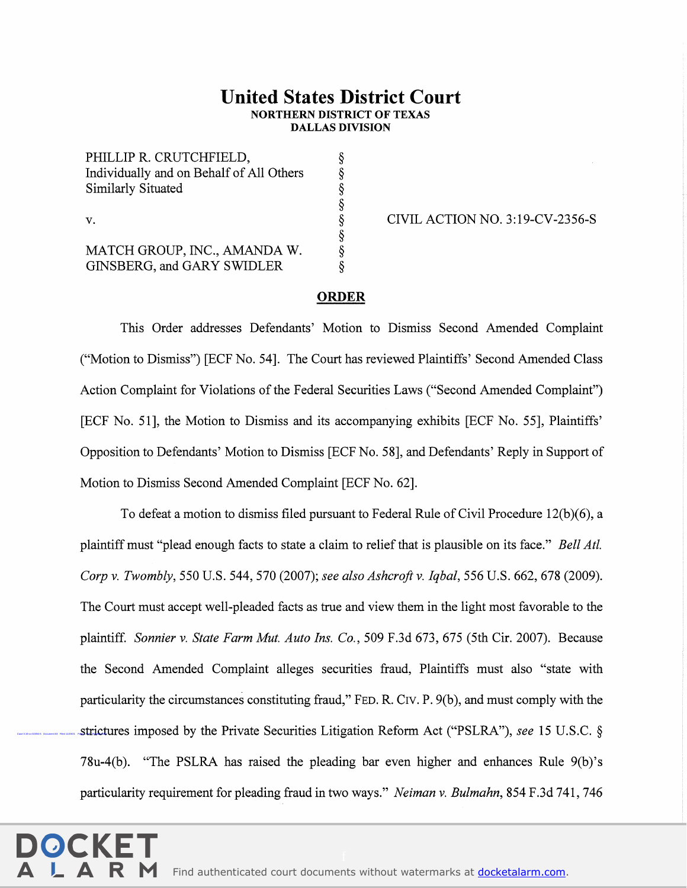## United States District Court NORTHERN DISTRICT OF TEXAS DALLAS DIVISION

PHILLIP R. CRUTCHFIELD, Individually and on Behalf of All Others Similarly Situated PHILLIP R. CRUTCHFIELD,<br>
Individually and on Behalf of All Others<br>
Similarly Situated<br>
S<br>
v.<br>
AATCH GROUP, INC., AMANDA W.<br>
S<br>
S<br>
S<br>
S<br>
S<br>
S<br>
S<br>
CIVIL ACTION NO. 3:19-CV-2356-S<br>
AATCH GROUP, INC., AMANDA W.<br>
S

MATCH GROUP, INC., AMANDA W. GINSBERG,and GARY SWIDLER

## ORDER

 $\hat{\S}$ 

 $\alpha$  and  $\alpha$ 

This Order addresses Defendants' Motion to Dismiss Second Amended Complaint ("Motion to Dismiss") [ECF No. 54]. The Court has reviewed Plaintiffs' Second Amended Class Action Complaint for Violations of the Federal Securities Laws ("Second Amended Complaint") [ECF No. 51], the Motion to Dismiss and its accompanying exhibits [ECF No. 55], Plaintiffs' Opposition to Defendants' Motion to Dismiss [ECF No. 58], and Defendants' Reply in Support of Motion to Dismiss Second Amended Complaint [ECF No. 62].

strictures imposed by the Private Securities Litigation Reform Act ("PSLRA"), see 15 U.S.C. § To defeat a motion to dismiss filed pursuant to Federal Rule of Civil Procedure 12(b)(6), a plaintiff must "plead enough facts to state a claim to relief that is plausible on its face." Bell Atl. Corp v. Twombly, 550 U.S. 544, 570 (2007); see also Ashcroft v. Iqbal, 556 U.S. 662, 678 (2009). The Court must accept well-pleaded facts as true and view them in the light most favorable to the plaintiff. Sonnier v. State Farm Mut. Auto Ins. Co., 509 F.3d 673, 675 (Sth Cir. 2007). Because the Second Amended Complaint alleges securities fraud, Plaintiffs must also "state with particularity the circumstances constituting fraud," FED. R. Crv. P. 9(b), and must comply with the 78u-4(b). "The PSLRA has raised the pleading bar even higher and enhances Rule 9(b)'s particularity requirement for pleading fraud in two ways." Neiman v. Bulmahn, 854 F.3d 741, 746